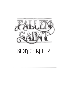

# **SIDITEY REETZ**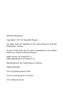Hell Bat Publications

Copyright © 2017 by Samantha Wagner

All rights reserved. Published in the United States by Hell Bat Publications, Arizona.

No part of this book may be used or reproduced in any manner whatsoever without written permission.

ISBN (ebook) 978-0-9862876-3-3 ISBN (paperback) 978-0-9862876-2-6

Manufactured in the United States of America.

FIRST EDITION

First US printing January 2018

Cover art and design by TJ Geisen

www.sidneyreetz.com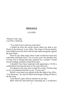## **PROLOGUE**

# LUCIFER

Thirteen Years Ago Lost Port, California

"You need to leave and not come back."

 I looked up from the scrolls strewn about my desk to see Raziel in the doorway to my office. The Angel of Secrets had his arms folded across his chest with his hip leaned arrogantly against the door frame.

 Were he any other angel, those words would have been met with blunt and brutal force. Yet over the years, the drunken fool I'd first met in Ireland had been replaced by a creature I found myself treading carefully around these days.

 I shouldn't have been surprised at his appearance; I'd felt a confrontation brewing between us for some time now.

 In response to his tone more so than his words, I felt the sting as my eyes flashed from blue to red. "Excuse me?"

 Raziel's own hazel eyes glinted in the dim light of my office. "You heard me," he said, his thick Irish brogue rolling off him to fill the room.

I met Raziel's gaze with no emotion on my face.

Back when the taint had been consuming me, I would have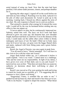#### Sidney Reetz

acted instead of using my head. Now that the taint had been purified, I felt calmer under pressure, clearer, and perhaps deadlier for it.

 Ignoring the other angel, I signed off on the scroll before me and took my time rolling it. Reaching over my desk, I placed it in the pile of other such documents for Azrael to pick up in the morning. Leaning back, I braced my elbows against the arms of my chair. My only response to Raziel was to cock an eyebrow.

 That seemed to unsettle what courage he'd entered the room with. I could tell by the way he hesitated before striding into my office to face me square on.

 I'd never admit it to him, but he continuously impressed me. Sobriety suited him well. The buzz cut he'd worn had been allowed to grow out years ago. His brunette hair, now shoulder length, had been tied back in a half tail. Even in the dimness of the room, I could make out the subtle other colors within it; blond, mahogany and traces of red. He hadn't filled out in body mass since he'd never lost any; yet gone were the baggy flannel shirts and pants, replaced with form fitting jeans and a green buttondown shirt.

Raziel, the Angel of Secrets, was once again in peak form.

 "You all need to leave," Raziel amended. "Or I will have to take Aria to live with her sister and Azazel."

 Anger flash boiled within me, yet I redirected it before it could explode. "Aria is *my* ward," I stated more as a challenge. "She and her sister are *my* responsibility. In light of my duties, I have given over *some* of their daily care to you and Azazel." I narrowed my eyes on him. "That does not mean that you usurp my authority on decisions about their well-being or place of residence."

 Raziel's jaw moved as if he were grating his teeth and trying to watch his words just as carefully as I. "I'm suggesting this in response to Aria's future well-being."

 "Suggesting? Funny, it sounded like an order to me." I pushed myself up from my chair and stood to face him eye to eye. "Talk to me Raziel," I sighed to dispel the tension. "What threat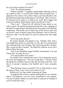are you trying to protect her from?"

"You," he replied instantly.

 "Watch yourself," I snapped, purposefully allowing a bit of my control to slip. "I vowed to her mother that I'd protect her." I glanced to the corner of my office where, just that afternoon, the girl had been practicing on the harp as I'd worked. "She's ten now. For the past seven years, I've held to my word. She's happy and wants for nothing. What threat could I possibly be to her?"

 "That's not—" Raziel bit off what he'd been about to say with a growl. He turned and paced around the room, stopping at the harp. He leaned down and picked up a few pages Aria had been composing. "Physically you've taken care of her. Seven years and we haven't seen or heard a thing from Michael, Uriel or Heaven. However, that's not the threat we need to protect her from right now."

"Get to the point, Raziel."

 He turned sharply and glared at me. "Despite what Aria's soul might have been in a past life, or why she was reincarnated into a human body, she is human. She's growing up like a human. She's *maturing* like a human." He lifted his eyebrow at me, but I didn't follow his logic.

 "Aria is the Seraphim Angel Soulfiel reincarnated. You and I know this. So what are you—"

"You and Soulfiel were mates."

 He couldn't have stunned me more if he'd teleported across the room and slapped me. "You are wrong there," I hissed. Of all the things he could have hit me with, this was below the belt. "Not that it is anyone's business, but Soulfiel and I were comrades only."

 "Stop fucking lying to yourself! You've been doing it since the dawn of time, Luce. Aren't you tired of it yet?"

Reflexively, my lips curled, exposing my fangs.

 "It might not have been a typical mating like we see with the others. Nevertheless, you two were committed to one another. You just wouldn't admit it to each other or yourselves. Perhaps if you two had more time…"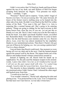I didn't even notice that I'd fisted my hands and braced them against the top of my desk; not until flickers of Hell Fire began escaping from between my fingers. "You presume too much. Tread — carefully," I spat.

 "Presume?" Raziel said in surprise. "Umm, hello? Angel of Secrets over here. I'm not *presuming* shit." He came forward, all traces of his former reserve melting away as he leaned into the other side of my desk. He didn't even flinch at the Hell Fire within inches of his flesh. "You want it flat out? Here it is: Aria is maturing like a normal human girl. She's going to be entering puberty. Things are going to change for her and everyone in this house knows how close the two of you are. Let me put this as bluntly as I can, Mr. Devil: I don't want you to be the first male to break her heart. You didn't just break Soulfiel's heart, you killed her. Remember Ruby? You didn't intend for her to come to harm either, but she died because your enemies came for *you*. Heaven above, Luce, even Syn was almost murdered by her stepfather thanks to *your* unintentional actions. Then there's Nuriel; who got cast out of Heaven for helping *you*. Are you seeing a pattern here? You're a chaos element."

 I moved faster than Raziel could track. One moment we were facing off over my desk and in the next, I had the bastard pinned against the nearest wall by the throat. The impact broke one of the shelves and leather-bound volumes rained down around us.

 Instead of fighting me off, Raziel held his hands up in supplication. No, the jerk used the sharpest weapon in his arsenal: words. *I adore that child. I love her as if I'd fathered her myself. I will not see the past repeat itself with Aria. I've waited long enough. I need to take her away from here. Away from you.*

The sincerity in those telepathic words found a weakness in my emotional armor I didn't know I had. I released the other angel and backed away from him.

"I would never hurt her," I said.

 "You wouldn't intend to," Raziel said, adjusting his shirt and glaring at me. "You protected her so far, Luce. You've lucked out, but that luck won't last forever. Let me take it from here."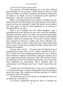# *I will not see the past repeat itself…*

 The memory of Soulfiel bleeding out in my arms whisked those thoughts out of my mind. I hadn't meant to kill her. It had been an accident, yet it didn't change the fact that she'd died upon my blade, at my hands. I'd never considered myself capable of hurting her - and still, I'd been her downfall.

 Ruby's smile faded up from my memory. I'd hidden my true nature from her and that failing on my part had led to her trying to protect me from an Archangel's attack. She hadn't stood a chance and once again I'd had to stand helplessly by as someone I cherished died in my arms.

 Ruby's face morphed into her eldest daughter's and I remembered the tears and fear on Syn's face when her stepfather, Marshall, had held a gun to her head. The man had been highly unstable to begin with and, as I'd come to find out, molesting his children. When he'd learned that I'd moved in with his family, he'd assumed I'd arrived to replace him. He'd officially freefallen off the edge of sanity at that point. His whole mission had been to cause as much terror and pain for Ruby and the girls as he spiraled into madness.

 And my sister, Nuriel… I'd gone to her for help knowing it might put her at some risk to do so. I hadn't expected it to go as far as it had. She'd been gathering information for me in Heaven that would have stopped a serial killer's mad spree. Instead, she'd been caught and accused of spying for Hell. The last time I'd seen her had been at Uriel's feet; battered and broken, she'd obviously been brutalized for information. She'd vanished after my confrontation with Michael and Uriel. I hadn't heard from her since.

 I turned away from Raziel and, as if my eyes were pulled to it, I looked at the harp. I went to it and numbly caressed my fingers across the strings. She would have still been playing it if I hadn't ushered her off to bed tonight.

 The realization came to me slowly, as all things do when you see them day in and day out.

I'd become complacent having her close; to hearing her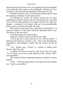music playing in the house, her voice singing, the riotous laughter of her playing with Legion or the hellhounds. Without my even noticing it, she'd become the heartbeat of this house for me.

 If I didn't hear her voice, I worried and searched until I found her sleeping or reading in some quiet corner.

 I'd justified my actions by telling myself that I'd been fulfilling her mother's dying wish for me to protect her. Knowing Aria to be the reincarnation of an angel I'd given my heart too though… to analyze it any further took me to an uncomfortable place; a place I'd always mentally run from.

 Ruby and her annoying Tarot cards had even foretold it. I'd found my Queen of Cups. How had Ruby described that to me? The house of the true heart?

Everything about me stilled at that.

I hated it. I tried to deny it but Raziel was right.

 "You'll take her to San Francisco to live with her sister?" I found myself asking in a hollow voice. "Syn's just finishing her internship at that designer's studio; the one Azazel set her up with."

"Yes," Raziel said. "Azazel is a master at hiding from Heaven. She'll be safe."

 I nodded and forced myself to pull away from the harp. "You'll report to me every week about how she's doing. That's non-negotiable."

 The song she'd been composing had been a ballad, I noticed numbly.

 "And—" I felt the words choke in my throat, but forced them out, "I get to say goodbye."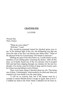## **CHAPTER ONE**

# LUCIFER

Present Day Paris, France

"What are your orders?"

"Kill him," I said.

 My second-in-command turned his shocked green eyes to me. In the defused light of the city, the disfiguring scar that ran down the side of his face was thrown into sharp relief. "What of the physical body he is possessing? The human is innocent."

 Shifting my gaze to the alley below us, I could clearly see the members of our raiding party cornering the demon. After all this time, we'd finally found one of the two demons who'd escaped Hell and had been slipping through our clutches for the last two decades. For twenty years he'd been at large and for twenty years he'd been leaving behind a trail of blood.

 There were many things I detested about my job. This being one of them. Unfortunately, what needed to be done and what you wanted to do were hardly ever the same thing.

 "I will try to exorcise him, but if the human must be a casualty to ensure Murder doesn't escape us again, then so be it." I nodded my head at the Notre Dame Cathedral not far from us.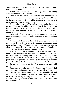"Let's make this quick and keep it quiet. We can't stay in enemy territory much longer."

 Azrael and I teleported simultaneously, both of us taking form at the mouth of the darkened alley.

 Thankfully, the sounds of the fighting from within were all but silent to the ears of the slumbering city engulfing us. One of the benefits of a large city was all the atmospheric white noise it possessed that you could hide behind.

 I approached the ring of five fallen angels penning in the one possessed human. Even blatantly outnumbered, the filthy human held his own against my troops. I stepped sideways as a member of my team flew through the air and collided face first into the dumpster to my right.

 Like a pack of wolves sensing the appearance of their alpha, the remaining angels parted to either side of the alley allowing me to pass.

 With my fist clenched in the pockets of my bomber jacket, I stopped not five feet away from the panting, perspiring human male we had cornered. Through strands of grease coated hair, he glared at me through sickly green eyes with goat slitted pupils.

"Are you through running, Murder?" I asked.

 A spike of pity raced through my soul for the fate of the human if we couldn't exorcise the demon from his body. Murder had been named adequately after the Fall. He'd lived up to that name as if it were a title. Even if we did save the man, to be possessed by a spirit that had gone beyond depravity before the pyramids had been built would cause massive mental damage.

 *Perhaps it would be for the best if we eased his passing,* I told myself.

 In our native angelic tongue, the demon spat, "Never. I find this game of cat and mouse greatly amuses me, Light Bringer."

 My hand lashed out faster than the demon could track and caught him by the front of his shirt. I shouldn't waste more time on words. We were practically standing in the shadow of one of Heaven's earthly fortresses and those around me were my responsibility.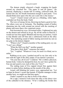The demon simply wheezed a laugh, wrapping his hands around my clenched fist. "The game to end all games." He sneered, displaying a mouth full of rotting, yellowed teeth. He leaned into me, his breath fermented enough to peel paint. "You should think more upon who the cat is and who is the mouse."

 "Luce!" I heard Azrael yell just as a blinding, white light, exploded out from the body I held.

 The wave of energy hit me, throwing me back a good six feet. The others were not so fortunate. The thudding sound of bodies slamming into the walls around me mixed with the cracking of plaster and more than a few surprised curses.

 Pain lacerated my eyes. On trained reflex, I tightened my grip on the demon and refused to let go. By all the saints in Heaven, I would not lose him again! Blinded and moving on instinct, I tried to trip Murder and roll him into a submission hold on the alley floor. The ratcheting sound of fabric tearing answered my ears as my grip on the demon slipped.

 "Where is he?" I heard a member of the raiding party cry out. "I can't see a thing!"

"What the Hell was that?" another gasped.

"Was that a Holy Bolt?" someone else asked.

 "No," I replied. "Whatever it was, he used it to blind, not to strike."

 Rubbing at my eyes, I pushed myself to my feet only to be met with the sight of the alley empty of our demon's presence.

 "On your feet, all of you!" I ordered. "He's within a physical, human body. Unless he dumped his host, he can't have gotten far. Fan out and search every inch of this city! Now!"

 The raiding team of five rapped closed fists against their armor in salute before dashing out the mouth of the alley.

 Azrael, still blinking his watery eyes, approached me. "Let us hope he doesn't vacate that human. If Murder manages to take another host, we might not find him again."

I hadn't wanted to say that in front of the others.

 On a sigh, I turned to look down the alley at the direct view of the cathedral in the distance. "If he's walking the border this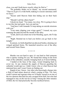#### Sidney Reetz

close, you and I both know exactly where he fled to."

 "He probably thinks we're afraid," my second murmured. "That we'll give it a wide berth; making it a secure sanctuary until we leave."

 "Secure until Heaven finds him hiding out on their back step."

"Should I call the others back?"

 I shook my head. "Too many, too close. We're going to have to run this fast and quiet. Just you and me."

 "And here I told Amanda I'd stop taking on suicide missions with you."

 "Your mate clipping your wings again?" I teased, my eyes scanning the park beyond the mouth of the alley.

 "Yeah, and if you return me to her bleeding, *again*, she'll clip yours."

 "Right. Remind me to heal you before you go back to her tonight."

 In unison, we both dispelled our physical bodies, donning our winged spiritual forms. We launched ourselves out of the alley and toward Notre Dame.

\* \* \* \* \*

 Murder was not hard to spot; it's not hard to find someone who is openly waiting for you. We found him sitting on the front steps of the cathedral, casually lounging back as if moon bathing.

 I landed at the base of the steps, Azrael dropping back to cover me. At any moment the angels of Heaven guarding the cathedral would spot us. I didn't know who or what Heaven had stationed here and I wasn't keen on finding out.

 Stupid of me, I know. Any idiot who knowingly charges into a field of land mines deserves what's coming to him. Yet, how could I retreat and regroup when we'd finally zeroed in on one of the two demons that had not only escaped from Hell, but who had managed to stay on the run for so long? Among the other inmates of Hell, the two had practically become mythical heroes.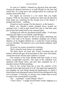As soon as I landed, I donned my physical form and leapt, closing the distance between us to grab Murder by the hair and tackle him. If I could move fast enough before he could get off another mock Holy Bolt—

 For angels, an exorcism is a lot easier than you might imagine. With my free hand, I pushed my spirit into the physical body under me, clutching for the foreign soul of the demon. I grasped and found — nothing.

I found no soul to grasp. Not the demon's or the human's.

 Below me, Murder's hands clamped down around my spiritual wrist. I tried to pull myself free only to find that some part of him had sealed itself to my exposed spirit.

 Locking eyes with me, the demon smiled coldly. "I will enjoy repaying this night to you tenfold, Light Bringer."

 Shadows danced under his skin as he spoke, darkening into what I first took to be bruises. Symbols morphed out of those shadows as he laughed. Behind me, I could feel Azrael looking over my shoulder. The demon's eyes went distant suddenly, dead and lifeless.

*Not good,* my senses screamed in warning.

That's when the body below me exploded.

 The blast threw me back into Azrael, knocking him off balance. Blood and gore showered upon us like some sick piñata. Azrael shoved me off him and I rolled to a crouch.

 The remains of the body Murder had been inside of were barely recognizable anymore. The steps of the cathedral were spattered with blood, bone, and gore that reminded me of a macabre Jackson Pollock painting.

 Next to me, Azrael tried not to lose the contents of his stomach at the sight and smell of it all. The angel had regained his lost empathy for such things during the Renaissance in which a brutal attack and subsequent torture had left him disfigured for the rest of eternity. To this day, he always wore clothes that covered as much of his scarred flesh as possible.

"He — exploded?" Azrael choked. "How?"

"I don't know." I caught myself before nearly slipping on a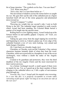bit of large intestine. "The symbols on his face. You saw them?"

"Yes. What were they?"

"Not a clue, but I've seen them before at—"

 The movement of shadows across the stones below us caught my eye. My gaze flew up the side of the cathedral just as a figure launched itself off one of the stone gargoyles and plummeted down toward us.

"Azrael! Company!" I yelled.

 Throwing my weight into my second's side, I sent us both flying to the left. The cathedral angel smashed to earth exactly where Azrael had been standing, his Celestial Blade buried a quarter of its length into the ancient stone.

 Rolling back to a low fighting stance, Azrael looked up at the fortress before us and audibly gulped. *Company, eh? Yeah, you could say that.* 

Taking my gaze away from the angel ripping his sword free and beginning to circle us, I dared a glance up. Every edge of the cathedral boasted a row of very stern looking, very armed and battle hungry Cherubim.

*Oh,* I sent back on a breathy laugh, *fuck.*

 Cherubim, or Cherubs, were not the Valentine's Day cartoon characters humans instantly think of when they hear the word. Cherubim, while not as powerful as a Seraphim or one of the seven Archangels, were without a doubt the tanks of the Angelic Hierarchy.

 Created to be guardians and protectors, they were the third deadliest of the ten Angelic Choirs and the most renowned for their warrior prowess.

As a former Archangel myself, a small squad of them were no match for me. Yet, as I gazed up at the sheer number of them clinging to the cathedral above us, I felt a spike of nervousness ping through me.

 *Yeeeeah. Hey, Luce?* Azrael said, his mental voice wavering. *In a case like this, it is perfectly acceptable to scream while retreating at full speed, right? So long as no one from our side of the war sees?*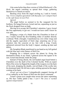#### FALLEN SAINT

Like some holier than thou version of Alfred Hitchcock's *The Birds*, the angels watching us spread their wings, gathering themselves to launch en masse.

 Backing away from the angel circling us, I said to Azrael, *Yep. I'm in complete agreement with that plan. Let's teleport back to the safe house in Lost Port.* 

 *Agreed.* 

The angel before us seemed to be the vanguard for his brethren. He lunged between Azrael and me, separating us just as the flock dropped from on high.

 Moving in to occupy the Cherubim's attention, I gave Azrael the first opportunity to get out. I would not leave until I knew he was safe.

Dodging a swipe of a blade from the Cherubim in front of me, I nearly missed the dive-bombing strike of another directly overhead. With a thought, I manifested my own white wings and did the angelic equivalent of bitch slap; smacking one of my attackers into the concrete at my feet with a wing. Cracks splintered outward from the body's impact, sending up dust and debris.

 My Seraphim Blade manifested in one hand as my left ignited with the blue and violet flames of Hell Fire.

 Prepping for a teleport across the planet by fixing the destination firmly in my mind, I glanced across the square to be sure Azrael had already made the jump.

 Instead of being absent, the red headed angel head butted a Cherubim over the shaft of his Celestial Scythe. With an expert flick of his wrist, he flipped the length of the weapon over the back of his neck, dropping the deadly, curved blade of the scythe into his dominant hand. He fell into a spin, striking upward at the angel coming at his back.

*Azrael, get out of here!* I telepathically snapped, forcing all of my authority as the Satan of Hell into the direct command.

 Azrael's green eyes caught mine across the space separating us. His face visibly paled a hue. *I can't! The area is warded against teleportation!*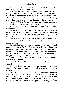I think my heart skipped a beat as his words sunk in. *That bastard demon! He led us into a trap!* 

I should have paid more attention to his words instead of acting rashly. My blade connected with another Cherubim's, silver sparks lighting the darkness around us as we parried each other's blows. With a shove and a savage kick to his midsection, I threw him back into three of his charging brothers in arms.

*Azrael, fall back! Retreat! The ward can't be that large or it would take too much energy to keep it active.*

*We need a—* My second's words were cut off by an audible cry of pain.

 I glanced over my shoulder to see Azrael had been pushed back toward an alcove where an ambush had been set. He rolled clear, but I could see a Celestial Dagger protruding from his shoulder.

 Like a pulse reaction, I felt the Hell Fire flare and spread up my arm as my fist clenched. I'd almost lost that angel once to a similar ambush.

 Instead of deflecting the sword coming at me next, I pivoted out from in front of the Cherubim and twisted. I reached out with my flame drenched hand and snagged his forearm. The flesh under my grip ignited and within a breath I'd scorched through muscle to the bones below. The angel screamed, instantly dropping his weapon and falling to his knees.

"Hell Fire?" I heard one of the Cherubim ask another somewhere behind me.

 "It's The Betrayer!" Another angel shrieked. "Satan himself comes!"

 I smirked darkly, feeling all of our enemies eyes focus on me. Good, if they were on me, it would give Azrael a moment to regroup.

 "That's right," I chuckled villainously, rolling my Seraphim Blade over my wrist and catching it. "*The* Satan himself is here to lay a smack down on your Cupid, diaper wearing, hearts and candy, lame ass, archer selves. You know, I have a theory: if your Choir were half the warriors they say you are, then why were you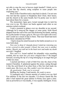#### FALLEN SAINT

not able to stop the war in heaven single handed? I think you're all just like the church, using scripture to scare people into respecting you."

 Most of the Cherubim took a step back in shock. I'm not sure who last had the cajones to blaspheme their Choir, their honor, and the church in the same breath; but I'm pretty sure we don't hear about them for a reason.

 The momentary lapse gave Azrael enough time to inch his way over to me. We threw our backs against each other as our enemies reeled overhead.

 I took a moment to glance over my shoulder at my second. Although he'd removed the dagger at some point, fresh blood dripped from the cuff of his coat and slickening his hands, making his scythe harder to keep a grip on. His eyes were tight with worry and I could see a touch of fear in them. That near brush had more than likely rekindled his PTSD.

I had to keep his mind focused on the battle around us or we were both dead.

*Now you've done it! Amanda doesn't mind me returning you to her covered in other people's blood, but your own is another matter. Sheesh, just stab me in the heart now and make my death merciful,* I laughed.

 *How sad it is,* Azrael replied, his telepathic voice sounding winded, *that my mate has you more whipped than I?* He lunged forward, severing the tip of a wing belonging to an angel that got a little too close.

 I snorted and threw a ball of Hell Fire into the chest of the nearest Cherubim. It splattered against the armor, eating through it like the acid blood of an alien from a film Syn had made me watch once. *She loves you. She couldn't care less about me.* 

 *Ah, good point. Yeah, you're screwed.* 

Shifting my footing, I said sternly, *Be ready to move.*

 I'd managed only a decent amount of control over my Hell Fire abilities in the last two decades. I'd always feared the fire after it had started the great inferno in Rome once upon a time. Just as powerful as it was deadly, it was equally intelligent. Every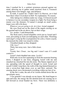time I reached for it, a sentient awareness pressed against my mind, allowing me to gather small emotions from it. Foremost among them were hunger, rage, and defiance.

 In truth, it scared me. I hadn't had it in Heaven, yet it had been there when I'd awoken in Hell. No explanation. No reason.

 After taking two children under my wings, I'd forced myself to harness it as my secondary weapon in a fight. Far from being a master over the element, I'd tamed it enough on small scales; larger were still a bit dicey.

 *Whatever you are going to do, do it fast,* Azrael snapped.

 My eyes fixed not on the chest of the angels circling us on the ground and in the air above, but on their wings.

*Yes, mother,* I said distractedly.

 The flock used a closed telepathic circle just as Azrael and I were, preventing us from eavesdropping on each other. Watching each angel's wing tip flex in preparation for a dive, I knew exactly the moment the order was issued to strike.

I breathed deeply as they dropped.

*Uhh, Luce?*

Thirty feet away now. Just a little closer.

*Luce!* 

Twenty feet. Closer…too big and I wasn't sure if I could control it.

Azrael's back thudded into mine. *Lucifer!* 

With only seven feet separating us from the assassins bearing down, I dropped to one knee, dragging Azrael with me and smashed my clenched fist into the stone. The flames ripped out of me, spreading with the speed of thought to circle Azrael and myself. It didn't stop there; the walls of the ring fanned themselves into a seven-foot high dome over us and blew outward. The ensuing shock wave incinerated everything within ten feet of us.

 In the fire's wake, the ash of its victims drifted down like an apocalyptic snow.

 I was grateful I was already on my knees. My head began to spin and ache, the energy the fire drained from me causing me to fall forward as sweat beaded my brow. There was definitely a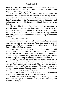price to be paid for using that talent. I'd be feeling the drain for days. Thankfully, it didn't knock me on my ass for weeks on end anymore. That was progress, right?

I couldn't really recall the exact steps of the next few moments. With my head too muddled from the energy drain, I couldn't track much more than my labored breathing. The fire hadn't taken out all of the Cherubim; still those that remained had fallen back. They probably thought I could pull that trick off twice in a row.

 The next thing I knew, Azrael had one of my arms thrown over his shoulders as he dragged me toward the Seine River. We were just nearing the Pont au Double Bridge when a containment ward flared up in front of us. Moving too fast to stop, we both hurtled right into it; which did wonders to rattle my brain around further.

"Shit," my second hissed.

 Shaking my head, I got enough of my senses back to take in our surroundings and predicament. "You can break it. You've done so before," I mumbled, remembering a long ago night in Lost Port outside an Italian restaurant.

 Azrael gave me a gimlet stare. "From the *out*side," he said slowly, maybe for my benefit. "You can't break containment wards from the *in*side. Hence, you know, the containment part." *Think you've got another one of those fireworks left in you?* Azrael asked, his eyes suddenly narrowing on something behind us.

 I scoffed, pressing my back into the warded sheet of air behind us and causing it to flare with blue/silver light. *Not unless you can drag me home unconscious. Hell Fire isn't just a weapon, it's alive. I won't risk leaving you against this horde on your own. So let's nix that off our list of possibilities, shall we? Can you get a call out to the rest of our raiding party?* 

I shook my head and tightened my grip around my Seraphim Blade. How had I managed to keep a hold of that?

Azrael was a master with telepathy. If it were possible to reach out through a containment ward, he was the only one capable of doing it.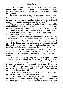#### Sidney Reetz

*Oh, jeez,* the Angel of Death scoffed at me, *I didn't even think of that! Hmm, I'd be quite the fool right now if that idea had only*  just *occurred to me.* He leveled his green eyes on me and lifted one eyebrow.

*Sarcasm noted and to be paid back with interest,* I said. Clenching my fist once more and allowing the flames to lick up my arm to my shoulder, I braced as the first of the newly formed ranks broke free of the pack and came for us. *Ideas?* 

 *Here is an idea,* a female voice broke through our telepathic circle chidingly. *You two start keeping your back up with you instead of sending them off on a wild goose chase. Particularly when going into a certain death situation. Now get the fuck down!* 

Azrael and I looked at one another before dropping to our stomachs on the stones of the bridge.

 Below, a roar heralded a surge in the Seine River. It rose on a great wave, its muddy, murky, water punching into the air shaped like a fist. That fist swiped over the bridge and crashed through the shimmering ward, shattering it in a flash of silver and blue sparks. It continued on its deadly arch, catching every one of the Cherubim in its wake and dumping them into the river.

 I couldn't see the angels being dragged down below the surface of the water. However, the silence that ensued as their cries were cut off abruptly by the gurgle of waves seemed far louder.

 The sound of clapping filling the silence brought mine and Azrael's heads up. Leaning against the bridge's railing was an angel, gratefully one solidly on our side of the war. Leviathan, or Levi as he preferred to be called, smiled victoriously down at us. He looked completely out of place with the Paris landscape, dressed in plastic flip flop sandals, beige surfing shorts, and an open, white, button-down shirt.

 "Aren't you just sick of us being your cavalry?" he laughed, his pale blue eyes twinkling with mischief.

 Next to him, the female angel perched on the railing overlooking the Seine snorted. Betty, formerly known as Behemoth, glared at us and unlike her mate, her green eyes were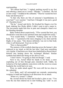reprimanding.

 "We almost had him," I sighed, pushing myself to my feet and offering a hand out to Azrael. "Murder," I clarified. "He led us into a trap." I nodded at the cathedral. "Then he vacated his host body and destroyed it."

 "Is that why there are bits of someone's hypothalamus in your hair?" Levi snorted. "And here I thought it was just a good ol' Cherubim brawl."

 "Ha ha," Azrael said dryly. He brushed his fingers over his head, shaking free fleshy debris I didn't want to put a name to. The movement made him hiss in pain and clamped a hand over his bleeding shoulder.

 Betty looked about suspiciously. "If he vacated the host, you should have seen him in his spiritual form and caught him easily."

 "You would think," I muttered. "Nothing came out of the body, but—" I gestured at the mess clinging to my chest and the thighs of my jeans. "Our demon definitely was not in that body when it self-destructed. Trust me on that."

"How is that possible?"

 The memory of the symbols dancing across the human's skin replayed in my mind, as did the last time I had seen something very similar. It had been on a front lawn battlefield as Raziel threw himself into beating down the Archangel Michael. Similar symbols had faded into being on his skin as well.

"I don't know. I'm going to find out though," I said.

 Next to me, Azrael lifted his hands to his head, a curse exploding out of him through pain clenched teeth. Oddly, he looked as if he had suddenly come down with the worst ice cream headache the world had ever seen.

 Were we under attack again? We were still far too close to the cathedral.

 Levi, Betty, and I all surrounded our comrade, summoning weapons to hand and looking in all directions for an attack.

"What is it, Azrael?" I asked.

 My second shook his head and leveled a glare at me. "You were the one that ordered me to start fielding any 'calls' to you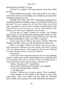from the King of Glitter," he spat.

 "Uh oh," Levi sighed. "Tell me he doesn't mean who I think he does."

 Azrael rubbed at his temple. "He wants to talk to you. Here." And in the manner of one handing over a telephone, he opened the telepathic connection to me.

*WHERE THE HELL ARE YOU?* Something sounding like a screeching banshee strangling a bag of cats shrieked directly into my head. *You were supposed to be here three hours ago! Devil cakes, you might be sex on a stick I wouldn't mind licking all night long, but this is cruel even for you. No one, and I mean no one, stands up my BFF on her nightmare princess day!* 

I'm not sure if I made a similar cry of pain. The Watcher angel Azazel's voice felt like glass grating around inside my skull. That combined with the effects of using Hell Fire and I was sure I'd found something ten times worse than a migraine.

*Azazel, tone it down! What is the matter with Syn?* When the Watcher said BFF, there was only one person he referred too.

*What is the matter? What is the matter! Oh, you are such a self-centered ass! What have you been doing all this time? Playing with your demon minions? Sun bathing by the lava pits? Playing a round of kick the sinner in your fiery domain?* 

 *Calm down!* 

*I AM CALM!* The connection between the two of us suddenly muted. I could nearly see the angel putting me on telepathic hold as he counted to ten. *Don't you dare tell me,* he finally said in a voice laced with venom, *that you forgot what day it is.* 

"Quick, what day is it?" I asked Betty.

"Umm, here? Saturday the fourteenth," she supplied.

"So in Lost Port that makes it Friday—"

"—the thirteenth."

"Oh shit," all four of us all said in unison. "Syn's wedding!"

 Azrael leaned over the railing of the bridge to look at the water below. "Hey, Levi, Betty, can you bring the Cherubim back? Really, that is going to be a more merciful confrontation."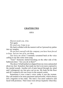# **CHAPTER TWO**

# ARIA

*Heaven needs you, Aria.*

Not again.

*We need you. Come to us.* 

My back collided with the nearest wall as I pressed my palms into my temples.

 *Do not fool yourself with the company you have been forced to keep. You are one of us, not them.* 

 *Just leave me alone!* I mentally screamed back at the voice calling to me like some siren song.

"Aria?" Someone started knocking on the other side of the bathroom door. "Are you ok in there?"

The dress I'd half pulled on slipped from my torso and pooled about my feet. Somehow that made me feel even more exposed to the mental assault. Another jolt of pain lanced through my mind and I whimpered, my feet gave out on me. My body hit the floor and all I wanted to do was cower in the nearest corner.

 Sometimes it was a man's voice; today it was the woman. Her call tended to be more persistent and powerful, which always left a migraine in her wake. The man's was more seductive and laced with promises. Their tones were always hypnotic when they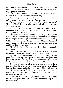#### Sidney Reetz

called out; beckoning to me, telling me lies about my family in an effort to lure me — somewhere. I doubted it was the Heaven they kept trying to sell to me.

 "Aria? I heard something. Are you okay? Just open the door, sweetie. You'll need me for the corset anyway."

*You belong to Heaven, Aria,* the woman crooned. *All Saints belong on Heaven's side of the war. We need you.* 

*I am no saint and I belong to no one! Now leave me alone!*  "I'm fine," I called out, my voice cracking slightly. "I just tripped. I'll be out in a second."

 I dropped my hands from my temples and sighed as the building headache began to recede. It tended to be a sign that my singing siren had backed off.

 The episodes had started about six months ago. At first, they came to me just on the verge of sleep or wakefulness. I'd thought they were just my mind replaying the lingering threads of dreams, but then they had started calling at all hours. It had only happened maybe once a week at first, then they'd gotten more persistent until I heard them every day.

 Thankfully, they hadn't yet crossed the line into multiple times a day.

 I had a wedding to go to and no one wanted to see the maid of honor screaming for the voices in her head to shut up.

 I pushed myself up from the bathroom floor and haphazardly pulled my dress up. The garment had been designed and personally tailored by my sister, the seamstress goddess of Hollywood. She'd kill me if she found one wrinkle in it.

 Not only had Syn started up her own line of gothic fashion that had taken the tween world by storm, she'd also branched out into movie costumes and red carpet runways. The creative teams she led were booked out for the next five years with requests for designs. There'd even been talk of an Oscar nomination for one of the films she'd worked on.

 Once back on my feet, I finger combed the spiral curls of my hair back into place and checked to make sure my makeup hadn't been smeared.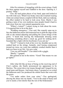#### FALLEN SAINT

 After five minutes of struggling with the corset strings, I held the dress against myself and waddled to the door. Opening it, I pouted, "Help."

 Cleo, the lead guitar player of my band, spun and looked at me with wide eyes. Which was freaky since she'd started wearing white out contact lenses; coupled with her thick, dark eye makeup, the effect tended to be hard to look away from. Maybe I was getting a taste of my own medicine since people found it hard to look away from my own natural aquamarine eyes.

 "Where's Azazel?" I asked, trying to look about the room. I'd expected him to be at the door.

 "Wedding emergency," Cleo said. She expertly spun me to face the bathroom mirror and instructed me to grab the edge of the sink as she started adjusting and pulling the corset strings of the gown. "I heard him leaving the bridesmaids dressing room muttering something about a stuck up, good for nothing devil. Sounded like a fight with his boyfriend, if you ask me."

 "Devil?" I turned to look at her over my shoulder just as she yanked hard on the strings. Instantly, steel boning compressed around my torso, my waist line suddenly crushed smaller than it had ever been in my life. I let out a yelp.

"Can you still breathe?" Cleo asked with a giggle.

"Barely," I gasped.

 She grinned at me in the mirror. "Good! That means we can go tighter."

#### \* \* \* \* \*

 After what felt like an hour of being on the receiving end of Cleo's sadism, she finally pronounced my appearance to be flawless. The corset drove me insane though and I longed for my usual jeans and blouses. And tennis shoes, I groaned as we exited the bathroom and Cleo produced the stiletto heels that went with the gown.

"I'm under orders from your sister," Cleo apologized, shoving the shoes into my hands. "You're the maid of honor and you're nearly a foot shorter than the rest of the bridesmaids."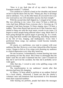"How is it my fault that all of my sister's friends are European models?" I whined.

 Cleo smirked as I placed a hand on her shoulder and leaned on her to slip the shoes onto my feet. "Honey pie, they're all image and no substance. You, on the other hand, all you need to do is say one word and no one will remember anyone else here tonight."

 With the second shoe half slipped on, I cringed at her words. She was referring to my voice. Ever since I'd been a child my voice had been different from everyone else's. Growing up, I'd assumed it had been because I'd been singing since I'd been a toddler. Then when Raziel had moved me to San Francisco and I started to hang out with the local music crowds in my teens, I'd begun to notice people being affected when I sang. Back then I'd been going through the typical angst of growing up. As a result, my songs had been somber and depressing, describing moments in my life of loss, longing, and inadequacies. Every time I performed those songs, my audience would become instantly melancholy.

 Of course, as a performer, you want to connect with your audience like that. However, every time I played the effect became worse. I began to feel as if my songs were dooming my audience to clinical depression every time they heard me.

 On one occasion, I remembered a woman bursting into tears and running out into the street. She'd been so distraught that she hadn't seen the car until it slammed into her. Later I'd found out that she'd survived the accident, but that she'd probably never walk again.

 After that day, I vowed to only write uplifting songs with positive messages.

 The transformation in my audiences' moods after that decision had been life changing.

 At fifteen, I'd been asked to perform at an outdoor festival for a local charity. Afterward, I found out that the charity's volunteer rates and donations had skyrocketed to five thousand times their expected numbers.

After hearing me perform, people had taken the messages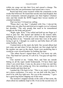#### FALLEN SAINT

within my songs out into their lives and caused a change. The ripple from that one performance had turned into a wave.

 Raziel had done some research within the community in the weeks that followed. He found that suicide rates had dropped, that local community outreach programs saw their highest volunteer rates and that month the SFPD logged their lowest number of criminal incidents.

That was how I'd found my calling.

 "Please don't say that," I pleaded with Cleo. I shoved the stiletto onto my other foot and tried not to topple over as I released her shoulder. "The only people that need to be remembered tonight are the bride and groom."

 "Right, right. Wait," Cleo called and held up one finger as I tried to pass her. She turned and dashed to the nearest table, grabbing up a stack of CDs and a silver Sharpie marker before shoving them at me. "Amanda said some fans were at the gates trying to get in. I thought we could try and bribe them off with some freebies. Sign?"

 I looked down at the stack she held. Our second album had just come out and when I'd last checked, our first single had hit the number one spot on the charts. Some were predicting that it would be a new record breaker for holding that spot.

 "The others haven't signed them yet? You know my rule, Cleo. This band isn't just me. It's all of us. You guys all sign first. Not me."

 Cleo snorted at me. "Aidan, Rico, and Nate are outside hitting on all the super model bridesmaids. I'll have them sign when I can corral them. Come on, the press is here too and they know about the tour coming up. Give me something to shove in their mouths and shut them up."

 I pushed the CDs back to her. "This is my sister's wedding, not a press conference. I'm sorry; we can deal with this later. I need to be with Syn right now. See you at the ceremony." I gave her a quick hug before slipping out of the room.

 The moment I stepped outside of the calm of that room, the chaos about me suddenly leapt to life. Even on the second story of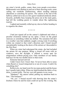#### Sidney Reetz

my sister's lavish, gothic, estate, there were people everywhere. Bridesmaids were dashing in and out of their dressing room, some calling out wardrobe malfunctions, others needing makeup alterations or searching for purses. The caterer at the end of the hallway called out to me as a few guest wandered aimlessly about. Security, probably busy keeping the press out at the main gates, had left the wedding guests to wander about like sightseeing tourists.

 I sighed and mentally rolled up my sleeves before heading in to organize the chaos.

\* \* \* \* \*

 I had just signed off on the caterer's clipboard and when a peculiar awareness tickled up my spine. I froze on the grand staircase as something within me shifted. The sensation felt akin to a weather vane that suddenly caught a strong wind. Everything within me rotated in that wind's direction and I found myself unexplainably looking at the doors of the atrium as I descended to the first floor.

 When my sister had redesigned the estate, she had included the atrium for one purpose. Being a closed off room with no windows, save the skylight, it offered a secure spot for teleportation without prying eyes. Only members of our family had keys for the two double doors to that room.

Someone had just arrived.

 I didn't know how I knew that. I'd never been able to sense when Raziel or Azazel teleported in or out of a room. Could it be something else?

 Reflexively, my hand went for my jeans pocket and the house key I usually kept within. When my hand brushed the fabric of my dress, I cursed softly. The key was still upstairs in my room.

 "Madame?" the caterer called, pulling my attention back to him. "The kitchens?"

 "Ah, yes." I busied myself with showing him the estate's kitchens where he and his team could set up for the evening. My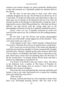#### FALLEN SAINT

motions were robotic though; my mind continually shifting back to that odd sensation as it repeatedly pulled my attention back to the atrium.

 By the time I'd put that chore to bed, crisis after crisis suddenly dropped into my lap. The DJ had never shown up. So in a mad dash, I'd found my band mates and asked them to take our spare gear out of storage in the basement and set it up. They all seemed excited at the prospect of playing that evening for such a high profile crowd, which I blessed them for. After that, the flower delivery van had arrived with the wrong order just as the photographer informed me that he'd suddenly doubled his prices.

*Azazel, where are you?* I mentally screamed as I took over each fire that came at me. He'd offered to be the wedding planner, not me!

 By the time I got the flowers and greedy photographer settled, one of the bride's maids tapped me on the shoulder. "Aria, your sister needs you. Like *now*."

 At the urgency in her voice, I didn't hesitate. Lifting the hem of my dress, I hurried off as fast as my hateful shoes would allow.

 Syn's room was on the top floor of the estate and although a small elevator had been installed, it'd been crammed full of people and deliveries. Instead, I dashed up the main staircase faster than I'd ever taken it. In hindsight, that hadn't been a smart idea on my part. Heels and a corset were not sprinting attire. By the time I'd hit the second floor, I'd already kicked off the shoes and held a hand to my diaphragm as I panted for air.

 You'd have to be blind to miss my sister's room. The doors to her bedroom were a replica of The Gates of Paradise by Ghiberti. The darn things were so massive I had to throw my shoulder into one just to budge it.

 I burst into the room anticipating that someone had fallen and broken a leg or my sister had passed out or gotten the wedding jitters and called the event off or—

"That was fast."

 Panting, I turned and found my sister standing in front of her three way, full-length dressing mirrors. She was clad in her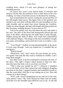wedding dress, which I'd only seen glimpses of during her sketching process.

 Of course Syn wasn't your typical bride. If someone had dared to tell her that she needed to wear a white dress to her own wedding, we'd have found the carcass on the beach by morning.

 Syn twisted before her mirrors, testing the sweep and flow of her full-length, black gown. The upper torso of the garment was similar to my own dress with the folds of a sari cascading over her right shoulder and an under bust corset framing her waistline. Unlike my dress though, she had a full-length skirt that poofed out like the gypsy wedding dresses I'd once seen on TV.

 True to her gothic soul, Syn had taken the style and made it her own. The skirt of the dress had strategically placed rips and tears in the fabric, allowing the red under-skirt to peek through. Hidden among the folds of fabric were small bats embroidered with elaborate filigree. The design at the hem resembled wrought iron gates surrounding a graveyard she'd seen in London a year ago.

 "Your friend," I huffed, waving absentmindedly at the doors I'd just come through, "said you needed me. It sounded like an emergency."

"Which friend?"

 "Blond hair. Tall. I don't know all your friends are sevenfoot giants who look like they need a weekend at a buffet. I can't keep them straight."

 Syn didn't look at me but continued to scrutinize the flow of her dress. "Oh, right, I forgot I asked Jeanine to find you. Hey, does this hem line look even to you from over there?"

 "That's what you needed me for?" I wheezed. I stumbled over to the black velvet chair nearest her and collapsed, dropping my shoes to the floor. I gasped instantly and reshuffled myself so that the corset didn't feel like it was cutting me in two. How did women sit in these things?

 "Well, yeah. Azazel disappeared on me and you're the only other person I trust." My sister flicked her black and red ombre dyed hair over her shoulder and rolled her eyes at me. As she did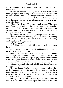so, her elaborate head dress tinkled and chimed with her movements.

 Instead of a traditional veil, my sister had worked for weeks to design a piece with curling horns reminiscent of an Ibex. I had no idea how she'd attached the thing to her head. I couldn't see a head band anywhere. The horns had chains and charms hanging from them and connected to an intricate, silver, circlet over my sister's forehead.

 "Okay," Syn sighed. "That isn't the only reason." She came down from the small dais she'd been standing on like a descending queen. "Truthfully, I needed everyone out of here for a minute so I could just breathe. That's partially why I moved the bridesmaids changing rooms to the first floor."

I pushed myself up. "You're not getting cold feet, are you?"

 "No! Oh, curse me, never! I just…" She trailed off, looking away from me and crossing her arms over her chest. "I just really, really need my sister right now."

"What's wrong?"

 Syn's blue eyes brimmed with tears. "I wish mom were here."

 I was on my feet before I knew it and hugging her close. "I know. I wish she were here too."

 I meant the words, I did. They just felt very hollow coming from my lips. Our mother had died when I'd been only three years old and there was a good twelve year age gap between me and my sister. Hence, Syn had known our mother far better than I before she'd passed. When she had been killed, I corrected myself.

 "I know," I amended through a tightening throat, "she'd be so proud of you."

 My sister dropped her head onto my shoulder. I had to swing my head out of the way before one of the horns on her head dress bashed me in the eye. "You think? She and  $I$  — we left it on a really bad note before she died. I never told her how sorry I am for being such a bratty daughter."

 I bit my lower lip. This was what Syn had needed and why she'd called me. She needed to fall apart for a bit before she faced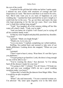the rest of the world.

 I reached for the gift that hid within me before I spoke again. I infused my next words with emotions of courage and selfforgiveness as I said, "She knows and there is no need to be sorry, Syn. She'd only want you to cry tears of happiness on your wedding day." I pushed her back and held her at arm's length so I could look her in the eyes. "So, go out there and marry the man who kept proposing to for the last ten years. Don't you think you've kept him waiting long enough?"

 "Yeah." Syn laughed, all of her remorse sliding off her like water off a duck's back. "Yeah, you're right."

 "And you better do it before I tell Azazel you're crying off all his cosmetic handy work."

 At that my sister laughed and playfully punched my shoulder. "You brat!"

I grinned. "Made you laugh though."

"Thank you. Love you, sis."

"Love you more," I replied, completing our verbal tradition.

 Sniffing, Syn pulled back and seemed to take note of our height difference. Looking down she snapped, "Where are your shoes?"

I groaned.

 "I don't want to hear it, missy. Wear them. It's not like I gave you platforms."

 "I'm just going to go barefoot. Look, the dress is long enough no one will be able to see."

 "You're wearing the shoes," Syn decreed, "or I'm taking back all the dresses I made for your tour."

 "I'm going to fall," I whined. "For all I know, I'll break my back and ruin your wedding! EMTs do not a good wedding reception make, you know?"

 "Unless they're built like the dancers from Magic Mike. Then it would be an epic reception!"

"Sis!"

 "What?" she said innocently. "I'm not a married woman yet. I'm allowed." My sister spun elegantly over to the little stool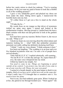before her vanity mirror to check her makeup. "You're wearing the shoes. Or do you want my maid of honor to look like a Hobbit in all of the wedding pictures?"

 I gave a very unladylike growl and plucked my shoes out from under the chair. Sitting down again, I maneuvered the horrible heels onto my feet.

 "It's either those or I get you a box to stand on the whole night."

"I'll take the bo—"

 My words froze on my tongue as that shiver of awareness tickled my spine once again. I turned and looked at the northernmost window. Moving toward it, I pulled back the heavy black curtains with their red and gold trim to look at the gardens below us.

 Syn must have seen my reaction. Before I knew it, she was at my side. "What is it?"

 I shook my head, my eyes moving about the silent statues and topiaries looking for — what? Still, that unfamiliar sensation persisted; not really calling but definitely declaring itself here.

"I think," I said, my voice distant. "I think someone is here."

 Syn burst out laughing. "The wedding is in an hour and over five hundred invitations went out. I'm sure a lot of people have arrived already."

"Only half R.S.V.P.'d," I replied robotically, still scanning.

 "No one R.S.V.P.'s in this day and age. So, expect them all." *Aria,* the male voice whispered into my mind.

I lifted my hand to my temple. *No!*

 *You need to come to me. Things are beginning to spiral outside of my control. I can protect you, but only if you come to me of your own free will. Please, for your own good.* 

I sucked in a breath sharply as the pain began to throb in my temples. *Both of you have never called out to me on the same day.*  I wasn't really sure if I'd thought that or somehow sent it. *You need to leave me alone.* 

Next to me, Syn had suddenly gone quiet. When I looked up at her, she glared at me through hooded eyes. "Them again?" she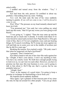asked coldly.

 I nodded and turned away from the window. "Yes," I admitted.

 Syn had been the only person I'd confided in about my problem. I hid nothing from my sister. Nothing.

*Very well,* the male said, the tone of his voice suddenly turning to granite. *If you will not come to me, I will be forced to come to you.* 

*Wait! What?* The pressure on my head instantly abated and I knew he'd left.

 "You promised me," Syn said, her voice pulling my mind back into the room, "that if it got any worse you were going to tell Raziel."

 "I was going to," I sighed. "Then the tour came up and the band has put so much into it already. It would crush them if we were forced to cancel and you know how Papa Raziel is. If he gets wind of this, that is if I'm not completely crazy and just hearing things, he'll cancel everything. He'll sweep me away against my will and hide me in some cave out in the middle of nowhere just like he did five years ago."

 Breaking the tension, Syn cracked a smile. "Oh yeah, wasn't that when he suspected you had a boyfriend?"

I groaned. "Don't remind me!"

 Syn lifted a hand to rub one of her claw-like nails against her lip. "Alright, if that's your choice, I won't say anything to him. You have my sisterly word. We both have enough people trying to lord over us, we can't do it to each other. However, you have to promise me that once this tour business is over, you're going to talk to him about it. He'll flip out, that's a given, but he can probably help too."

"Alright. Deal."

 "Now, in the manner of a good sister, I'm going to keep a promise in exchange for blackmailing a favor from you."

My hopeful mood suddenly deflated.

 Once again, I got a glimpse of that insecure part of my sister she only let slip out around two other people. "Can you go check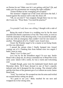#### FALLEN SAINT

on Dorian for me? Make sure he's not getting cold feet? Oh, and make sure his groomsmen are wearing the right cufflinks."

"Future brother-in-law wrangling job accepted."

 The moment I slipped out of the room and down the hall, I leaned against the nearest wall to take the shoes off.

 "Oh, no you don't!" Syn snapped, though there was no way she'd seen me. "Wear them. You need the practice!"

\* \* \* \* \*

*I'm grateful I only have one sibling*, I thought with a stab of guilt.

 Being the maid of honor in a wedding was by far the most stressful and chaotic experience of my life. Once more, as soon as I left the sanctuary of the dressing room, I was accosted by people, each one with an emergency that couldn't wait for one reason or another. Throughout all of it, I hadn't seen Azazel once.

 I knew the Watcher angel to be a master at not being found, yet this was ridiculous!

 I passed the atrium when I finally bumped into Azazel coming out of it. Flanking him from behind were two angels I hadn't seen in years.

"Betty? Levi? Is that you?"

 Levi was by far the friendliest angel I'd ever met. Surfer blond with a deep tan, he always reminded me of Brad Pitt in his early years. Quick with a smile, he was a warm and welcoming soul.

 Tonight though, gone were his trademark board shorts and Hawaiian shirts. He'd been dressed in one of Syn's expertly tailored suits she'd designed for the evening. The oriental collar and the trim lines of the garment gave Levi almost an exotic James Bond look.

"Aria!" he cried out. He scooped me into his arms and twirled me around before setting me down.

 "It's good to see you." Betty reached for me next and wrapped me in her strong arms.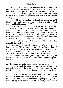Like her mate, Betty was also out of her garment element. In place of her swim suit and casual attire, she sported a sheer black dress with a plunging neckline that nearly cut down to her navel.

 "It feels like it's been ages. By the way, thank you for the CDs you sent. Though I might need more copies. Legion keeps stealing ours."

 "No problem," I assured her. "I'll send you as many as you'd like. You guys look great by the way." I peeked around them. "Did Azrael and Lucifer not make it?"

 At that Azazel snorted. Like Levi he was dressed in a suit that set off his gunmetal grey eyes and long black hair. Though he looked perfect for a *GQ* cover, it was the first time in ages I hadn't seen him in a dress. "Oh, they made it alright and you should have *seen* what they dared to wear. Blood and guts might work as accessories in Hell, but not at my BFF's wedding. This lot needed a makeover A.S.A.P., so forgive my absence."

 "I told you," Betty hissed. "There was a problem in Paris that needed to be handled."

 Azazel mockingly raised an eyebrow. "What? An orgy of intestines that—" He snapped his words off sharply as the look of confusion on my face began to fade into horror. "Right, we have a wedding to launch. You two," he gestured to Betty and Levi, "you're on usher detail. Chop. Chop. Aria, can you get—"

 I held up my hands and began backing away. "I'm already on a mission for the bride. Levi, Betty, let's catch up at the reception, shall we?"

 At their nod, I turned to head for the rear doors leading out into the gardens where the main event would take place.

 As soon as I did, the sound of screeching tires echoed down the hall from somewhere outside. An instant later, a bang reverberated down the halls just before every light in the house went out.

 Someone, I'm pretty sure it was Azazel, screamed in an octave that could have shattered glass. Heart pounding, I flailed about in the sudden darkness only to be caught by Betty just as I started to trip over something. In that moment, I envied their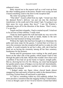enhanced vision.

 Betty steered me to the nearest wall as a wail went up from the other wedding guests in the house. People were crying out and I heard something crash to the floor in the reception hall.

My sister was going to kill me.

"That idiot!" Azazel yelled from my right. "Azrael says that the damned florist's delivery van just ran into the electrical transformer on the south end of the estate! Ugh, I'm going to sue their asses for every penny they have!" I saw the Watcher's silhouette storm off in the direction of the drama. "Don't worry, I've got this."

 Angels and their telepathy, I had to remind myself. I tried not to be envious of their abilities. I really tried.

 I kept my hand against the wall and made my way out to the gardens. Outside was just as dark as inside, thanks to the new moon Syn had insisted on being wed under.

 Without the lights that had been brought in to illuminate the paths and stone steps for the guests, I worried that we'd have to move the ceremony into the reception hall and try to make do with candles. It would certainly be up Syn's alley, still, she'd had her heart set on having the ceremony among all her faux cemetery headstones for the pictures.

 Dorian and his groomsmen were waiting in the small guest house on the other side of the garden, which meant I had to trek through the path in the dark. Maybe that wouldn't have been such a problem if Syn had set up her home in logical, straight paths. But no, showing her love for *The Shining*, my sister had designed her garden amid a maze of hedges over ten feet tall. Intermittently, statues hidden in the topiaries reached out like prison victims begging to be released.

 I dodged under one figure whose clawed hands almost snagged my hair and nearly twisted my ankle in the damned shoes. Growling I kicked them off and knelt to grab them.

 As I did so, something within my soul suddenly shifted. Far more peculiar a sensation than the nagging feeling I'd had before, it was as though a part of me I'd never known existed had fallen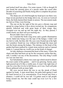#### Sidney Reetz

and locked itself into place. For some reason, I felt as though I'd just found the missing piece of a puzzle under the couch after decades of searching and finally being able to complete the picture because of it.

 The sharp caw of a bird brought my head up to see three very large ravens perched on the hedge above me. As soon as I noticed them, the birds ducked their heads in unison. The movement made me feel as if they were bowing.

 The one on the far right of the trio gave a throaty rasp and spread its wings before it dove down toward me. Its companions quickly followed and with great beats of their wings, they swooped over me and up into the night sky. As they passed, I could clearly see their red eyes tracking me.

Ravens didn't have red eyes.

 As I watched the birds wing away and a gentle illumination slowly faded into being over the tops of the hedges. I didn't tell my feet to walk, but they did. My eyes were fixated up at the light as I somehow found my way without fail through the maze and into the break among the hedges. The entrance to the heart of the garden had been marked by a giant stone archway and as I passed under it, I sensed that my world was on the brink of change.

 An inky darkness consumed the heart of the maze. I knew the chairs and altar had been set up for the ceremony earlier that day, still, I couldn't see any of the decorations. The only thing I could see was one lone tree.

 Syn had planted a cherry tree years ago which stood in almost the exact center of the garden — and it was glowing. Serene, pure light poured out of it like a visible aura. It wasn't the right time of year for a tree like it to be in full bloom, yet it was. Each soft pink flower glittered with an inner light.

 My eyes moved down the tree to see the streak of black against its trunk. A man stood there, his palm held against it and his head bowed as if in concentration. Even bowed and from a distance, I could tell he was tall. I'd gotten used to tall people being around me, but this man could top even Levi by a few inches.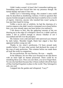I didn't make a sound. At least I don't remember making one. Something must have keyed him into my presence though. He turned sharply and spun to face me.

 Unlike Levi's welcoming energy, this creature's aura could only be described as slumbering violence. It left no question that anyone foolish enough to awaken the beast would be in for a world of regrets. Likewise, anyone who touched him wasn't going to lose just their hand for trying.

 Unlike a movie star or celebrity, he had the charisma of a warrior emperor who didn't need to command you to kneel before him; you were already upon one knee before you realized it.

 I felt drawn to him, like the gathering currents of the sea drawing me to the edge of a whirlpool. However, it didn't pull me under; I felt in control enough to choose whether or not I succumbed and fell over the precipice.

 His features were cold and hard with narrowed eyes framed by dark lashes. Shoulder length, black hair edged a face that appeared neither young nor old.

 Thanks to my sister's profession, I'd been around male models before. I'd seen what society had declared the cream of the crop of male perfection. This creature before me made them all look like trolls in comparison.

He was perfection. He was flawless. He was — angelic.

 In the darkness, his two blue eyes focused on me and shown with an inner light no human possessed. There could be no mistaking those eyes. Once you saw them, you never forgot them. No one else had them because they'd been crafted with all the hues of blue God had forgotten to place in the world. They belonged to only one soul.

I stepped into the garden and whispered, "Lucy?"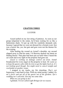## **CHAPTER THREE**

## LUCIFER

 Azazel pulled on my last string of patience. As soon as our group teleported to the estate, he'd been waiting for us like a fashionista shark. I'd put up with his wardrobe demands only because I agreed that we were not dressed for a formal event. Syn was a horror fan, yes, but guts and gore were not the themes for the evening.

 After healing the wound on Azrael's shoulder, my second slipped away to find his mate. I'd likewise ducked out intent on finding Raziel. That plan had been put on hold when I heard the car crash and every light on the property had gone out.

*Azazel is working on damage control out front,* Azrael broadcasted for every angel on the property to hear. *He wants us to keep the guests calm while he tries to get the lights back on. It's not looking good though. Syn might need to cancel tonight and reschedule at another venue.* 

I stopped in my tracks, my fist clenching. *That's not happening,* I sent back to him. With my mind racing, I added, *Do me a favor and get all of the guests out of the gardens. Syn's wedding isn't canceled. Just buy me some time.*

 *What are you going to do?* 

I grinned. *I'm not called Light Bringer for no reason.*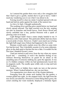#### FALLEN SAINT

\* \* \* \* \*

 As I entered the garden there were only a few stragglers left that I had to give a gentle, mental shove to get to leave. I didn't need any wandering eyes to see what I was about to do.

 Forcing myself to clear my mind, I reached upward with one hand and laid my palm against the trunk of the nearest tree.

*Let there be light,* I thought sardonically.

 The soothing silver and blue glow started below my hand and slowly spread outward. The light crawled over the tree, seeping out onto its branches and broad leaves. Each flower flexed and slowly unfolded into a tiny, perfect blossom with a spark of glowing color at its heart.

 Light Bringer hadn't been a name simply handed to me. It had been a title I had earned. This particular ability had once been a secret pride of mine. However, I hadn't seen much use in being the light bulb angel since Edison had happened to the world.

 Humans would easily explain away the effect as some trick Syn had devised. They'd probably assume it to be some elaborate, glow-in-the-dark paint or declare the tree a fake. It wouldn't be the first time I thanked Occam's razor.

 I had just started to pull away from the tree when my senses keyed into — something. It wasn't the familiar feeling of my instincts throwing themselves on guard for an attack or the unsettling aura of someone stalking me; quite the opposite. It was as if a hidden compass within me had spontaneously keyed into its magnetic north. The needle spun wildly only to stop and lock itself in place.

 Some reflex or hidden force made me turn at that precise moment. When I looked behind me, she was just there.

Two aquamarine eyes shone out of the stygian darkness.

 Emerging from the ornate arch leading into the garden, a woman glided into sight. As she stepped closer, the light from the tree slowly unveiled her. Dressed in a form fitting black gown, the corset cinching her waist modestly displayed a feminine figure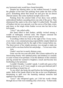#### Sidney Reetz

any hormonal male would have found desirable.

 Despite her alluring attire, as she walked forward, I caught the glimpse of her bare feet peeking from under the hem of the gown. Something about that struck me and gave her an almost ethereal nature; like some mythical nymph come to life.

 Peeking from the colored folds of her dress were artfully embroidered feathers cascading down one side of the gown. They shimmered like opals in the silver light I'd called forth. The path of feathers led my eyes upward, over the curves of her hips, waist, and chest, to the single white feather woven into her hair at her left temple.

"Lucy?" she called softly.

 Her hand lifted to that feather, artfully twisted among a wealth of mahogany colored curls. Her fingers caressed the feather almost as if it were a type of worry stone.

 Everything within me froze at the sight of her. Every worry, every fear, every constant pressing responsibility simply faded out of my mind; replaced only by the sight of this woman before me. The sheer power of her simple presence was enough to make me want to fall to one knee before her and pledge… I'm not sure what.

Aria.

I hadn't seen her in nearly thirteen years.

 Gone was the ten-year-old child. She'd been replaced by an intoxicating beauty who radiated purity and kindness as casually as some women wore perfume. Even the darkness of the cemetery and fog around her seemed to brighten a touch and become less foreboding in her presence.

 I couldn't breathe. I couldn't speak. I could only gaze at her and feel drawn in; as if I were caught in some gravitational pull I was unwilling to break free of.

 To my relief, she broke the spell before the feeling pulled me under. Both of her hands lifted to her lips as her eyes brightened, threatening to spill over the haunting makeup someone had applied to her features.

 "Lucy?" she whispered again, yet I felt her words vibrate through me as if she were standing only a foot away. "Is that really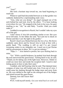you?"

"Aria?"

 She took a hesitant step toward me, one hand beginning to reach out.

 Whatever spell had descended between us in that garden was suddenly shattered by a reprimanding male voice.

 "Aria, what are you doing?" An angel emerged out of the arch behind her and took Aria by the elbow. "I've been looking everywhere for you." He stopped at the look in her eyes, his gaze tracking to me. "Ah," he said flatly. "Lucifer. Glad you could make it."

 I nodded in recognition to Raziel, but I couldn't take my eyes off of the girl.

 I don't know if Aria felt something similar or not. Her eyes never left mine. To her father she said, "Syn sent me to check on Dorian and then I saw the light in the garden."

 Raziel's hazel eyes flicked between the two of us. His brows suddenly came down and he forced Aria to look at him with a gentle hand. "The wedding is still on and I've got Azazel screaming orders in my telepathic ear. I need you to get Dorian and his groomsmen in place. We've got ten minutes."

 "Papa, I—" Aria started to protest, her eyes flicking back to mine.

 "Go." With a careful briskness, he pushed Aria back through the arch and toward the guest house. Turning back to me, he said, "Thank you for taking care of the light issue. However, I think we could use more here and inside the reception hall. I need to start letting guests in here to take their seats."

 I nodded, only half hearing what he said. That damned inner compass of mine was still locked onto Aria. Even out of view, I could sense her dashing through the hedge maze and away from us. My eyes shifted to the right as she emerged out of the hedges and turned toward the guest house.

Dammit, how did I know that?

 $"Luce?"$ 

*Work,* I told myself sternly. *Get your mind back on work and*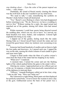*stop thinking about —* Eyes the color of the purest tropical sea water — *other things…* 

 Thankfully, the sound of Raziel sternly clearing this throat was the swift kick in the rear I needed to jar my mind loose.

 "We need to talk," I said, remembering the symbols on Murder's body before it had self-destructed.

 "Yes." Raziel's eyes flicking to where Aria had disappeared before returning to me. "We do. However, we have a wedding to survive first." Without waiting for a reply, the angel turned and marched out of the garden, turning left where Aria had turned right.

 Within moments I could hear guests being directed toward the wedding altar, which was my cue to leave. As I moved, my hand brushed over trees, bushes, and sculptures. Colored light exploded into being in my wake.

 I slipped out of the garden, feeling much like the snake fleeing Eden as I forced myself back toward the estate and not toward the guest house where my instincts were screaming at me to go.

 Someone had found hundreds of candles and set them to light the foot paths and doorways. As I passed each one, I tapped the wax on the side, causing the whole column of each candle to glow and issue more light.

 I began to head inside when the blare of a police cruiser's siren from the front of the estate had me stopping in my tracks.

"What now?" I muttered.

 A moment later, I turned the corner and saw the flashing lights of the vehicle parked before the gates to the estate's drive.

 Altering my course, I approached just as two officers got out of the car. In response, a female form practically materialized out of the darkness to intercept them.

 "Officers," Amanda Rodriguez called out in her clear, crisp, 'I take no shit' tone. "How can I help you?"

 She'd dressed in a tight fitting, black pants suit that displayed her perfectly toned body. I'd never know the woman to miss a day at the gym. Emblazoned across the back of her jacket was a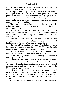stylized pair of white tribal designed wings that nearly matched the white blond of her short cropped hair.

 She opened the main gate for the officers as the entertainment news reporters and paparazzi began to shout questions and snap photos from across the street. Per ordinance, they legally had to maintain a twenty-foot distance from the property. At my approach, their cameras began snapping in rapid fire as they began to call out to me. I ignored them.

 The two officers were glancing around the area, obviously ogling the grounds, the upper-class guests, and the media frenzy just outside the gate.

 The lead, an older man with salt and peppered hair, tipped back his hat and turned toward the former Homicide Detective as I came up behind her. His gray eyes widened in alarm. "Amanda? Shit is that you?"

 Crossing her arms over her chest, Azrael's mate tilted her chin up and eyed the one who had spoken. Her green eyes turned hard suddenly. "Mahoney," she said in a clipped tone.

 The older officer continued to stare. "We, uh, had two calls in regards to this address. One for the traffic blocking the main public street and another for a reported explosion."

 "We had an incident involving a delivery van and the onsite electrical transformer. It happened on private property."

 "We'll be taking care of it with the delivery company in the morning," I stated firmly.

 Both officers finally broke their gazes away from Amanda to give me an appraising look. I was all too familiar with such a visual inspection. The shoulders of both men tensed as they craned their necks up to look me in the eyes. Mahoney took a step back. His younger partner stood his ground.

 "Right. No one is injured, I trust. We—" Mahoney broke off his words, shaking his head in bewilderment as his gaze swung back to Amanda. "Damn, Rodriguez, you look exactly the same as the day you left the force. That was, what, ten years ago? Twelve?"

Standing beside her, I could see Amanda's posture straighten.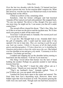Over the last two decades with the female, I'd learned just how private a person she was. So her reaction didn't surprise me. What did, however, was the way her eyes flicked nervously to me before fixating back on the officer.

I lifted an eyebrow at her, remaining silent.

 Somehow, what her former colleague said had knocked Amanda off her typical cool and calm pedestal. She snapped back, "No one was injured. The driver is fine, though if he says sorry one more time, he might not be. I can assure you that all is under control here."

 The second officer cleared his throat. "That's fine, Miss, but we'd like to at least see the driver and the incident area. We'll also need your guests to park off the main road."

*Need help?* I sent privately to Amanda. *One mental push and I can send them both away.*

*I've got this.* She thought back at me. Amanda didn't have the gift of telepathy, still, I could read her mind easily if she opened it for me to tune into. *They are starting to pull the good cop, bad cop routine. I think it's because of all the high profile guests and photographers. I'll show them how we're handling the situation and promise to have the valets move the cars.* She looked over her shoulder at me and gave a sly smirk. "Ceremony is in five minutes. You better get moving."

 I nodded and clapping her on the shoulder before turning to head back into the mansion. "Call me if you need me."

One thing I loved about that human was the lack of hand holding she needed. Perhaps my generals needed to start taking lessons from her.

 "Who's the big fella?" I heard the older officer ask as I walked away. "Heard you were married. That him?"

 "That's my husband's boss," Amanda replied. "Now, if you'll follow me, you can speak with the driver."

 I pushed the front doors open to the estate and entered. The front entry bore Syn's decorating style. However, there were hidden signs that Aria lived here as well. The pictures gracing the walls were one such mark. Though each one had been encased in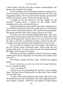a black frame with bats and other macabre ornamentations, the photos were cheerful and colorful.

 For the wedding, most of the photos had been changed out to show Syn and her soon to be husband from the day they met to the engagement photos. However, there still remained a good number of photos from prior years of Syn and Aria growing up.

 I stopped as the last picture in the line caught my full attention. Leaning down, I picked up the chunky frame, wondering if my eyes were deceiving me.

 The picture had been taken shortly after Ruby's death, just as we'd all been settling into life at the coastal house. We'd taken the photo at Syn's annoying insistence. She'd gotten into photography that spring and had always been trying to pose us for a shot.

 Of course, Syn and Aria had changed drastically. They were both women in the prime of their lives. However, none of the other faces had changed at all. Myself, Betty, Levi, and Azrael were still the same as the day we had been created. Azazel was the only exception since his personal style changed from week to week.

 My eyes fell on Amanda's face in the photo. She'd been in her late twenties when it had been taken, which meant she was pushing fifty today. Yet the woman I'd just left outside mirrored the image of the woman in the photo.

 The glass in the frame suddenly cracked, the fractures spider webbing out from my fingertips. I set the photo down before I did worse to it.

 The officers outside had been right; Amanda had stopped aging.

*Azrael, what have you and your mate been doing behind my back?* I snarled inwardly.

"Luce, you made it!"

 I turned to see Syn descending the staircase in her wedding finery. She had a line of bridesmaids on either side of her to make sure she didn't trip.

 As each of the maids looked up and caught sight of me, they all stumbled on the steps. Thankfully, they each caught themselves and avoided a disaster. Tittered to one another in high pitched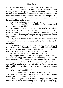squeaks, their eyes darted to me and away, only to come back.

 Syn ignored them and cascaded down the stairs like a queen coming to address her people. I crossed the floor to her and she threw her arms around me in an embrace. I had to throw my head to the side as the elaborate headdress she wore almost impaled me.

 "Sorry for being late," I whispered in her ear. "I wouldn't have missed this for the world."

She pulled back, tears brimming her eyes.

 "Remind me again," I playfully chided her, "why you wanted *me* to be the one to do this?"

 Syn slapped my shoulder. "Really?" she scoffed. "I'm about to say 'I do' over here and all you can think is 'why me'?" She tilted her head up and though her tone was condescending, she smiled. "Need I remind you that you are my guardian on all the legal forms?"

 "Oh, so now that matters? Remember when I told you that you couldn't have your own mansion." I gestured at the estate around us.

 She snorted and took my arm, twining it about hers and she ushered me forward, her mile long train and maids walking behind us. "Well, you said no and Azazel said, 'here take my mansion I never use.' I was, what, twenty? How could I say no?"

I sighed. "Azazel is your enabler, that's for sure."

 Syn laughed and I could tell she was trying to distract herself. Her nervous energy translated in the trembling of her fingers against my arm. "I love Azazel to pieces, but he can't handle this. The giving away of the bride to the groom thing, I mean." She gestured between the two of us with a finger. "If he were in your place right now, he'd throw me over his shoulder and cart me away."

"Why on earth would he—"

 "It's the natural reaction of a BFF at their BFF's wedding," Syn said with her trademark roll of the eyes. "He's probably going to need you and the others more after tonight."

 "Great," I sighed on a halfhearted laugh. "Because, you know, we are just a happy family that always gets along. Yep,